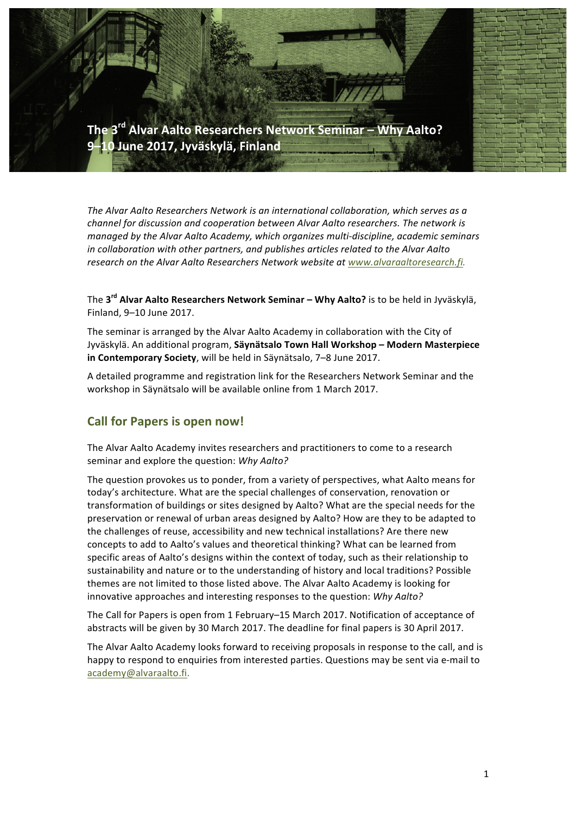

The Alvar Aalto Researchers Network is an international collaboration, which serves as a *channel for discussion and cooperation between Alvar Aalto researchers. The network is managed by the Alvar Aalto Academy, which organizes multi-discipline, academic seminars in* collaboration with other partners, and publishes articles related to the Alvar Aalto *research on the Alvar Aalto Researchers Network website at www.alvaraaltoresearch.fi.* 

The 3<sup>rd</sup> Alvar Aalto Researchers Network Seminar – Why Aalto? is to be held in Jyväskylä, Finland, 9–10 June 2017. 

The seminar is arranged by the Alvar Aalto Academy in collaboration with the City of Jyväskylä. An additional program, **Säynätsalo Town Hall Workshop – Modern Masterpiece in Contemporary Society**, will be held in Säynätsalo, 7–8 June 2017.

A detailed programme and registration link for the Researchers Network Seminar and the workshop in Säynätsalo will be available online from 1 March 2017.

### **Call for Papers is open now!**

The Alvar Aalto Academy invites researchers and practitioners to come to a research seminar and explore the question: *Why Aalto?* 

The question provokes us to ponder, from a variety of perspectives, what Aalto means for today's architecture. What are the special challenges of conservation, renovation or transformation of buildings or sites designed by Aalto? What are the special needs for the preservation or renewal of urban areas designed by Aalto? How are they to be adapted to the challenges of reuse, accessibility and new technical installations? Are there new concepts to add to Aalto's values and theoretical thinking? What can be learned from specific areas of Aalto's designs within the context of today, such as their relationship to sustainability and nature or to the understanding of history and local traditions? Possible themes are not limited to those listed above. The Alvar Aalto Academy is looking for innovative approaches and interesting responses to the question: Why Aalto?

The Call for Papers is open from 1 February–15 March 2017. Notification of acceptance of abstracts will be given by 30 March 2017. The deadline for final papers is 30 April 2017.

The Alvar Aalto Academy looks forward to receiving proposals in response to the call, and is happy to respond to enquiries from interested parties. Questions may be sent via e-mail to academy@alvaraalto.fi.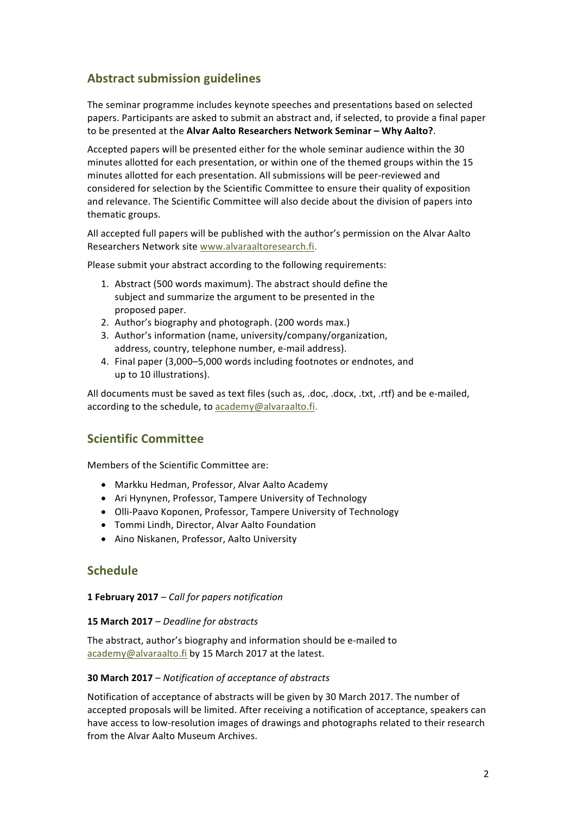# **Abstract submission guidelines**

The seminar programme includes keynote speeches and presentations based on selected papers. Participants are asked to submit an abstract and, if selected, to provide a final paper to be presented at the **Alvar Aalto Researchers Network Seminar – Why Aalto?**.

Accepted papers will be presented either for the whole seminar audience within the 30 minutes allotted for each presentation, or within one of the themed groups within the 15 minutes allotted for each presentation. All submissions will be peer-reviewed and considered for selection by the Scientific Committee to ensure their quality of exposition and relevance. The Scientific Committee will also decide about the division of papers into thematic groups.

All accepted full papers will be published with the author's permission on the Alvar Aalto Researchers Network site www.alvaraaltoresearch.fi.

Please submit your abstract according to the following requirements:

- 1. Abstract (500 words maximum). The abstract should define the subject and summarize the argument to be presented in the proposed paper.
- 2. Author's biography and photograph. (200 words max.)
- 3. Author's information (name, university/company/organization, address, country, telephone number, e-mail address).
- 4. Final paper (3,000-5,000 words including footnotes or endnotes, and up to 10 illustrations).

All documents must be saved as text files (such as, .doc, .docx, .txt, .rtf) and be e-mailed, according to the schedule, to academy@alvaraalto.fi.

## **Scientific Committee**

Members of the Scientific Committee are:

- Markku Hedman, Professor, Alvar Aalto Academy
- Ari Hynynen, Professor, Tampere University of Technology
- Olli-Paavo Koponen, Professor, Tampere University of Technology
- Tommi Lindh, Director, Alvar Aalto Foundation
- Aino Niskanen, Professor, Aalto University

## **Schedule**

**1 February 2017** *– Call for papers notification*

#### **15 March 2017** *– Deadline for abstracts*

The abstract, author's biography and information should be e-mailed to academy@alvaraalto.fi by 15 March 2017 at the latest.

#### **30 March 2017** *– Notification of acceptance of abstracts*

Notification of acceptance of abstracts will be given by 30 March 2017. The number of accepted proposals will be limited. After receiving a notification of acceptance, speakers can have access to low-resolution images of drawings and photographs related to their research from the Alvar Aalto Museum Archives.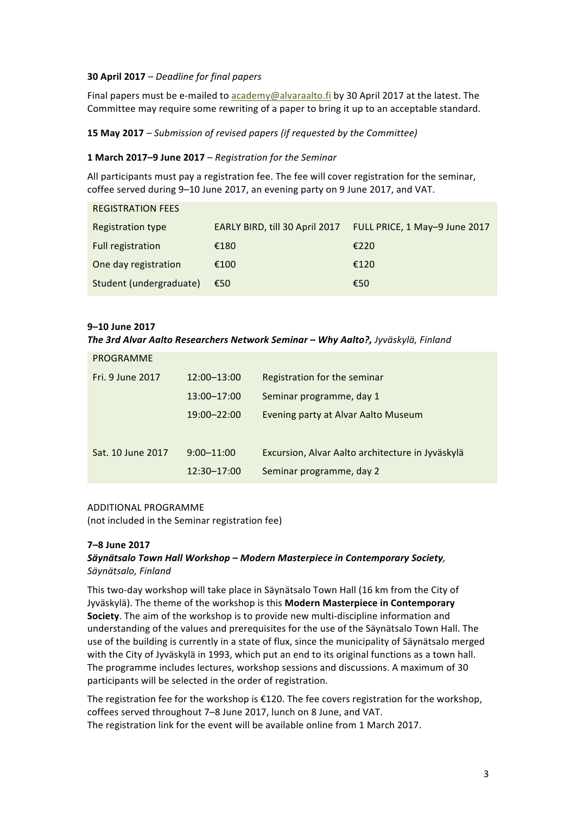#### **30 April 2017** *– Deadline for final papers*

Final papers must be e-mailed to academy@alvaraalto.fi by 30 April 2017 at the latest. The Committee may require some rewriting of a paper to bring it up to an acceptable standard.

#### **15 May 2017** *– Submission of revised papers (if requested by the Committee)*

#### **1 March 2017–9 June 2017** *– Registration for the Seminar*

All participants must pay a registration fee. The fee will cover registration for the seminar, coffee served during 9–10 June 2017, an evening party on 9 June 2017, and VAT.

| <b>REGISTRATION FEES</b> |                                |                               |
|--------------------------|--------------------------------|-------------------------------|
| Registration type        | EARLY BIRD, till 30 April 2017 | FULL PRICE, 1 May-9 June 2017 |
| Full registration        | €180                           | €220                          |
| One day registration     | €100                           | €120                          |
| Student (undergraduate)  | €50                            | €50                           |

#### **9–10 June 2017**

#### *The 3rd Alvar Aalto Researchers Network Seminar – Why Aalto?, Jyväskylä, Finland*

| PROGRAMME         |                 |                                                  |
|-------------------|-----------------|--------------------------------------------------|
| Fri. 9 June 2017  | 12:00-13:00     | Registration for the seminar                     |
|                   | 13:00-17:00     | Seminar programme, day 1                         |
|                   | $19:00 - 22:00$ | Evening party at Alvar Aalto Museum              |
|                   |                 |                                                  |
| Sat. 10 June 2017 | $9:00 - 11:00$  | Excursion, Alvar Aalto architecture in Jyväskylä |
|                   | $12:30 - 17:00$ | Seminar programme, day 2                         |

#### ADDITIONAL PROGRAMME

(not included in the Seminar registration fee)

#### **7–8 June 2017**

#### *Säynätsalo Town Hall Workshop – Modern Masterpiece in Contemporary Society, Säynätsalo, Finland*

This two-day workshop will take place in Säynätsalo Town Hall (16 km from the City of Jyväskylä). The theme of the workshop is this Modern Masterpiece in Contemporary **Society**. The aim of the workshop is to provide new multi-discipline information and understanding of the values and prerequisites for the use of the Säynätsalo Town Hall. The use of the building is currently in a state of flux, since the municipality of Säynätsalo merged with the City of Jyväskylä in 1993, which put an end to its original functions as a town hall. The programme includes lectures, workshop sessions and discussions. A maximum of 30 participants will be selected in the order of registration.

The registration fee for the workshop is  $E120$ . The fee covers registration for the workshop, coffees served throughout 7-8 June 2017, lunch on 8 June, and VAT. The registration link for the event will be available online from 1 March 2017.